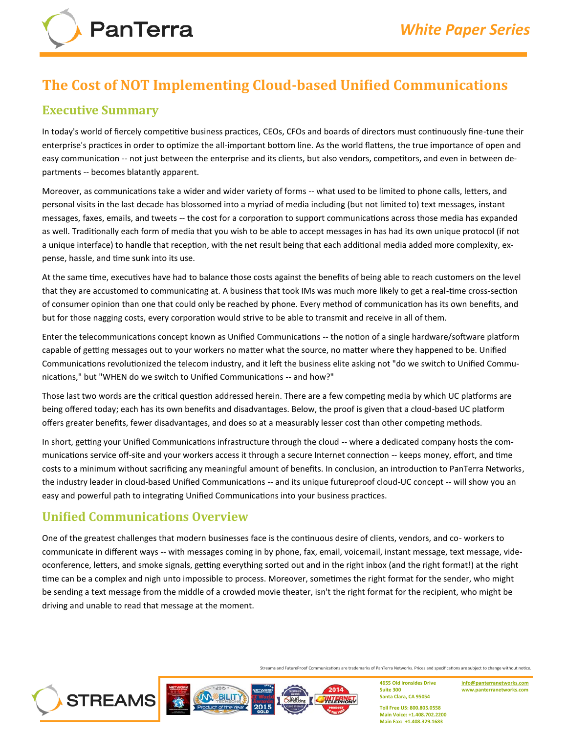# **The Cost of NOT Implementing Cloud‐based Unified Communications**

#### **Executive Summary**

In today's world of fiercely competitive business practices, CEOs, CFOs and boards of directors must continuously fine‐tune their enterprise's practices in order to optimize the all-important bottom line. As the world flattens, the true importance of open and easy communication -- not just between the enterprise and its clients, but also vendors, competitors, and even in between departments -- becomes blatantly apparent.

Moreover, as communications take a wider and wider variety of forms -- what used to be limited to phone calls, letters, and personal visits in the last decade has blossomed into a myriad of media including (but not limited to) text messages, instant messages, faxes, emails, and tweets ‐‐ the cost for a corporation to support communications across those media has expanded as well. Traditionally each form of media that you wish to be able to accept messages in has had its own unique protocol (if not a unique interface) to handle that reception, with the net result being that each additional media added more complexity, expense, hassle, and time sunk into its use.

At the same time, executives have had to balance those costs against the benefits of being able to reach customers on the level that they are accustomed to communicating at. A business that took IMs was much more likely to get a real‐time cross‐section of consumer opinion than one that could only be reached by phone. Every method of communication has its own benefits, and but for those nagging costs, every corporation would strive to be able to transmit and receive in all of them.

Enter the telecommunications concept known as Unified Communications ‐‐ the notion of a single hardware/software platform capable of getting messages out to your workers no matter what the source, no matter where they happened to be. Unified Communications revolutionized the telecom industry, and it left the business elite asking not "do we switch to Unified Communications," but "WHEN do we switch to Unified Communications ‐‐ and how?"

Those last two words are the critical question addressed herein. There are a few competing media by which UC platforms are being offered today; each has its own benefits and disadvantages. Below, the proof is given that a cloud‐based UC platform offers greater benefits, fewer disadvantages, and does so at a measurably lesser cost than other competing methods.

In short, getting your Unified Communications infrastructure through the cloud -- where a dedicated company hosts the communications service off‐site and your workers access it through a secure Internet connection ‐‐ keeps money, effort, and time costs to a minimum without sacrificing any meaningful amount of benefits. In conclusion, an introduction to PanTerra Networks, the industry leader in cloud‐based Unified Communications ‐‐ and its unique futureproof cloud‐UC concept ‐‐ will show you an easy and powerful path to integrating Unified Communications into your business practices.

# **Unified Communications Overview**

One of the greatest challenges that modern businesses face is the continuous desire of clients, vendors, and co-workers to communicate in different ways -- with messages coming in by phone, fax, email, voicemail, instant message, text message, videoconference, letters, and smoke signals, getting everything sorted out and in the right inbox (and the right format!) at the right time can be a complex and nigh unto impossible to process. Moreover, sometimes the right format for the sender, who might be sending a text message from the middle of a crowded movie theater, isn't the right format for the recipient, who might be driving and unable to read that message at the moment.



Streams and FutureProof Communications are trademarks of PanTerra Networks. Prices and specifications are subject to change without notice.

2014

**4655 Old Ironsides Drive Suite 300 Santa Clara, CA 95054**

**[info@panterranetworks.com](mailto:info@panterranetworks.com) www.panterranetworks.com**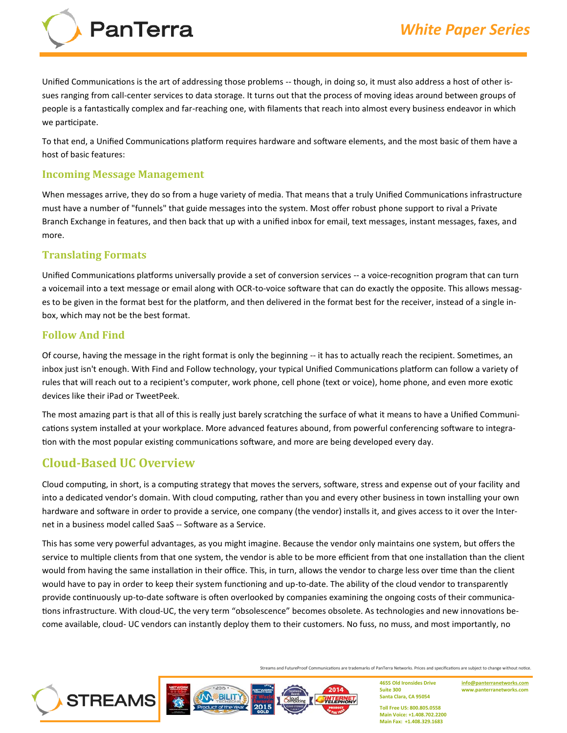

Unified Communications is the art of addressing those problems ‐‐ though, in doing so, it must also address a host of other issues ranging from call‐center services to data storage. It turns out that the process of moving ideas around between groups of people is a fantastically complex and far‐reaching one, with filaments that reach into almost every business endeavor in which we participate.

To that end, a Unified Communications platform requires hardware and software elements, and the most basic of them have a host of basic features:

#### **Incoming Message Management**

When messages arrive, they do so from a huge variety of media. That means that a truly Unified Communications infrastructure must have a number of "funnels" that guide messages into the system. Most offer robust phone support to rival a Private Branch Exchange in features, and then back that up with a unified inbox for email, text messages, instant messages, faxes, and more.

#### **Translating Formats**

Unified Communications platforms universally provide a set of conversion services -- a voice-recognition program that can turn a voicemail into a text message or email along with OCR-to-voice software that can do exactly the opposite. This allows messages to be given in the format best for the platform, and then delivered in the format best for the receiver, instead of a single inbox, which may not be the best format.

#### **Follow And Find**

Of course, having the message in the right format is only the beginning -- it has to actually reach the recipient. Sometimes, an inbox just isn't enough. With Find and Follow technology, your typical Unified Communications platform can follow a variety of rules that will reach out to a recipient's computer, work phone, cell phone (text or voice), home phone, and even more exotic devices like their iPad or TweetPeek.

The most amazing part is that all of this is really just barely scratching the surface of what it means to have a Unified Communications system installed at your workplace. More advanced features abound, from powerful conferencing software to integration with the most popular existing communications software, and more are being developed every day.

#### **Cloud‐Based UC Overview**

Cloud computing, in short, is a computing strategy that moves the servers, software, stress and expense out of your facility and into a dedicated vendor's domain. With cloud computing, rather than you and every other business in town installing your own hardware and software in order to provide a service, one company (the vendor) installs it, and gives access to it over the Internet in a business model called SaaS ‐‐ Software as a Service.

This has some very powerful advantages, as you might imagine. Because the vendor only maintains one system, but offers the service to multiple clients from that one system, the vendor is able to be more efficient from that one installation than the client would from having the same installation in their office. This, in turn, allows the vendor to charge less over time than the client would have to pay in order to keep their system functioning and up-to-date. The ability of the cloud vendor to transparently provide continuously up‐to‐date software is often overlooked by companies examining the ongoing costs of their communications infrastructure. With cloud-UC, the very term "obsolescence" becomes obsolete. As technologies and new innovations become available, cloud‐ UC vendors can instantly deploy them to their customers. No fuss, no muss, and most importantly, no

Streams and FutureProof Communications are trademarks of PanTerra Networks. Prices and specifications are subject to change without notice.

2014



**4655 Old Ironsides Drive Suite 300 Santa Clara, CA 95054**

**[info@panterranetworks.com](mailto:info@panterranetworks.com) www.panterranetworks.com**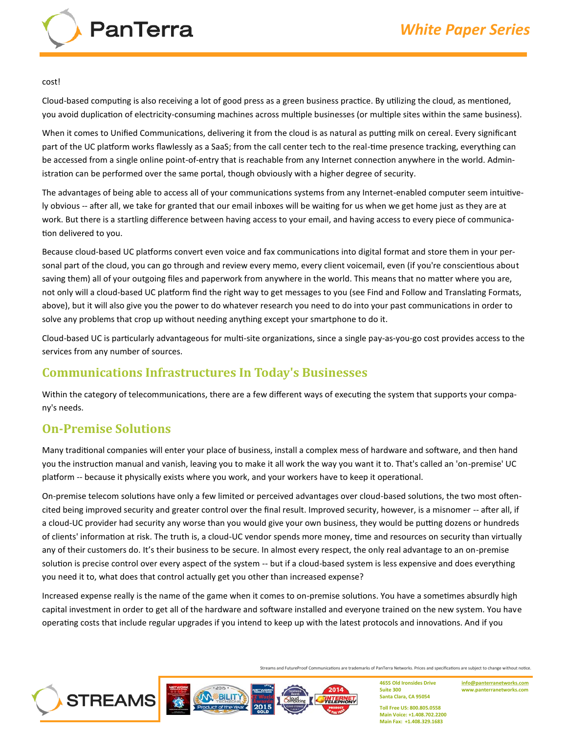

#### cost!

Cloud‐based computing is also receiving a lot of good press as a green business practice. By utilizing the cloud, as mentioned, you avoid duplication of electricity‐consuming machines across multiple businesses (or multiple sites within the same business).

When it comes to Unified Communications, delivering it from the cloud is as natural as putting milk on cereal. Every significant part of the UC platform works flawlessly as a SaaS; from the call center tech to the real-time presence tracking, everything can be accessed from a single online point-of-entry that is reachable from any Internet connection anywhere in the world. Administration can be performed over the same portal, though obviously with a higher degree of security.

The advantages of being able to access all of your communications systems from any Internet‐enabled computer seem intuitively obvious ‐‐ after all, we take for granted that our email inboxes will be waiting for us when we get home just as they are at work. But there is a startling difference between having access to your email, and having access to every piece of communication delivered to you.

Because cloud‐based UC platforms convert even voice and fax communications into digital format and store them in your personal part of the cloud, you can go through and review every memo, every client voicemail, even (if you're conscientious about saving them) all of your outgoing files and paperwork from anywhere in the world. This means that no matter where you are, not only will a cloud‐based UC platform find the right way to get messages to you (see Find and Follow and Translating Formats, above), but it will also give you the power to do whatever research you need to do into your past communications in order to solve any problems that crop up without needing anything except your smartphone to do it.

Cloud‐based UC is particularly advantageous for multi‐site organizations, since a single pay‐as‐you‐go cost provides access to the services from any number of sources.

#### **Communications Infrastructures In Today's Businesses**

Within the category of telecommunications, there are a few different ways of executing the system that supports your company's needs.

#### **On‐Premise Solutions**

Many traditional companies will enter your place of business, install a complex mess of hardware and software, and then hand you the instruction manual and vanish, leaving you to make it all work the way you want it to. That's called an 'on‐premise' UC platform -- because it physically exists where you work, and your workers have to keep it operational.

On-premise telecom solutions have only a few limited or perceived advantages over cloud-based solutions, the two most oftencited being improved security and greater control over the final result. Improved security, however, is a misnomer ‐‐ after all, if a cloud‐UC provider had security any worse than you would give your own business, they would be putting dozens or hundreds of clients' information at risk. The truth is, a cloud‐UC vendor spends more money, time and resources on security than virtually any of their customers do. It's their business to be secure. In almost every respect, the only real advantage to an on‐premise solution is precise control over every aspect of the system -- but if a cloud-based system is less expensive and does everything you need it to, what does that control actually get you other than increased expense?

Increased expense really is the name of the game when it comes to on‐premise solutions. You have a sometimes absurdly high capital investment in order to get all of the hardware and software installed and everyone trained on the new system. You have operating costs that include regular upgrades if you intend to keep up with the latest protocols and innovations. And if you

Streams and FutureProof Communications are trademarks of PanTerra Networks. Prices and specifications are subject to change without notice.



**4655 Old Ironsides Drive Suite 300 Santa Clara, CA 95054**

**[info@panterranetworks.com](mailto:info@panterranetworks.com) www.panterranetworks.com**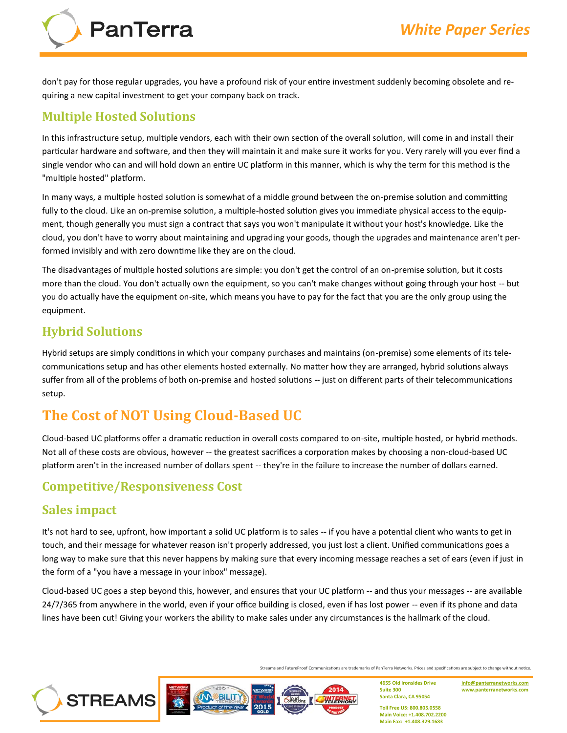

don't pay for those regular upgrades, you have a profound risk of your entire investment suddenly becoming obsolete and requiring a new capital investment to get your company back on track.

## **Multiple Hosted Solutions**

In this infrastructure setup, multiple vendors, each with their own section of the overall solution, will come in and install their particular hardware and software, and then they will maintain it and make sure it works for you. Very rarely will you ever find a single vendor who can and will hold down an entire UC platform in this manner, which is why the term for this method is the "multiple hosted" platform.

In many ways, a multiple hosted solution is somewhat of a middle ground between the on‐premise solution and committing fully to the cloud. Like an on-premise solution, a multiple-hosted solution gives you immediate physical access to the equipment, though generally you must sign a contract that says you won't manipulate it without your host's knowledge. Like the cloud, you don't have to worry about maintaining and upgrading your goods, though the upgrades and maintenance aren't performed invisibly and with zero downtime like they are on the cloud.

The disadvantages of multiple hosted solutions are simple: you don't get the control of an on‐premise solution, but it costs more than the cloud. You don't actually own the equipment, so you can't make changes without going through your host -- but you do actually have the equipment on‐site, which means you have to pay for the fact that you are the only group using the equipment.

## **Hybrid Solutions**

Hybrid setups are simply conditions in which your company purchases and maintains (on‐premise) some elements of its telecommunications setup and has other elements hosted externally. No matter how they are arranged, hybrid solutions always suffer from all of the problems of both on-premise and hosted solutions -- just on different parts of their telecommunications setup.

# **The Cost of NOT Using Cloud‐Based UC**

Cloud‐based UC platforms offer a dramatic reduction in overall costs compared to on‐site, multiple hosted, or hybrid methods. Not all of these costs are obvious, however -- the greatest sacrifices a corporation makes by choosing a non-cloud-based UC platform aren't in the increased number of dollars spent -- they're in the failure to increase the number of dollars earned.

# **Competitive/Responsiveness Cost**

## **Sales impact**

It's not hard to see, upfront, how important a solid UC platform is to sales -- if you have a potential client who wants to get in touch, and their message for whatever reason isn't properly addressed, you just lost a client. Unified communications goes a long way to make sure that this never happens by making sure that every incoming message reaches a set of ears (even if just in the form of a "you have a message in your inbox" message).

Cloud‐based UC goes a step beyond this, however, and ensures that your UC platform ‐‐ and thus your messages ‐‐ are available 24/7/365 from anywhere in the world, even if your office building is closed, even if has lost power -- even if its phone and data lines have been cut! Giving your workers the ability to make sales under any circumstances is the hallmark of the cloud.

Streams and FutureProof Communications are trademarks of PanTerra Networks. Prices and specifications are subject to change without notice.

2014



**4655 Old Ironsides Drive Suite 300 Santa Clara, CA 95054**

**[info@panterranetworks.com](mailto:info@panterranetworks.com) www.panterranetworks.com**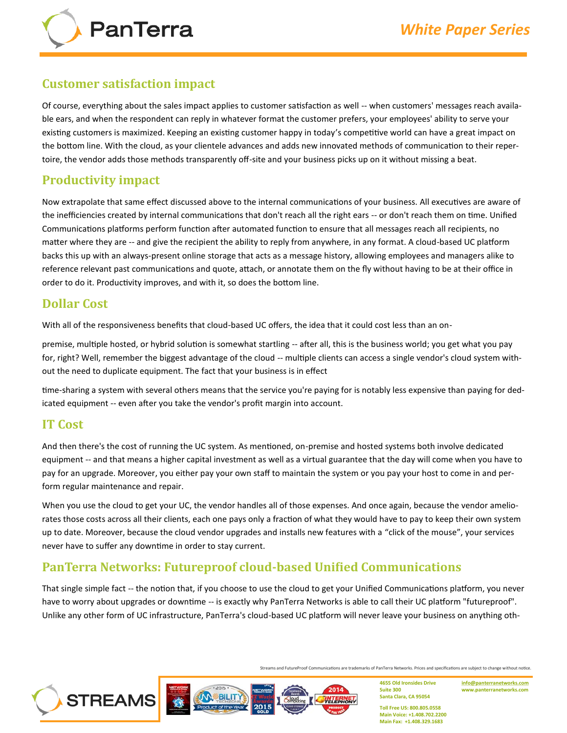

#### **Customer satisfaction impact**

Of course, everything about the sales impact applies to customer satisfaction as well ‐‐ when customers' messages reach available ears, and when the respondent can reply in whatever format the customer prefers, your employees' ability to serve your existing customers is maximized. Keeping an existing customer happy in today's competitive world can have a great impact on the bottom line. With the cloud, as your clientele advances and adds new innovated methods of communication to their repertoire, the vendor adds those methods transparently off‐site and your business picks up on it without missing a beat.

#### **Productivity impact**

Now extrapolate that same effect discussed above to the internal communications of your business. All executives are aware of the inefficiencies created by internal communications that don't reach all the right ears ‐‐ or don't reach them on time. Unified Communications platforms perform function after automated function to ensure that all messages reach all recipients, no matter where they are -- and give the recipient the ability to reply from anywhere, in any format. A cloud-based UC platform backs this up with an always‐present online storage that acts as a message history, allowing employees and managers alike to reference relevant past communications and quote, attach, or annotate them on the fly without having to be at their office in order to do it. Productivity improves, and with it, so does the bottom line.

## **Dollar Cost**

With all of the responsiveness benefits that cloud-based UC offers, the idea that it could cost less than an on-

premise, multiple hosted, or hybrid solution is somewhat startling ‐‐ after all, this is the business world; you get what you pay for, right? Well, remember the biggest advantage of the cloud -- multiple clients can access a single vendor's cloud system without the need to duplicate equipment. The fact that your business is in effect

time‐sharing a system with several others means that the service you're paying for is notably less expensive than paying for dedicated equipment ‐‐ even after you take the vendor's profit margin into account.

## **IT Cost**

And then there's the cost of running the UC system. As mentioned, on‐premise and hosted systems both involve dedicated equipment -- and that means a higher capital investment as well as a virtual guarantee that the day will come when you have to pay for an upgrade. Moreover, you either pay your own staff to maintain the system or you pay your host to come in and perform regular maintenance and repair.

When you use the cloud to get your UC, the vendor handles all of those expenses. And once again, because the vendor ameliorates those costs across all their clients, each one pays only a fraction of what they would have to pay to keep their own system up to date. Moreover, because the cloud vendor upgrades and installs new features with a "click of the mouse", your services never have to suffer any downtime in order to stay current.

## **PanTerra Networks: Futureproof cloud‐based Unified Communications**

That single simple fact ‐‐ the notion that, if you choose to use the cloud to get your Unified Communications platform, you never have to worry about upgrades or downtime -- is exactly why PanTerra Networks is able to call their UC platform "futureproof". Unlike any other form of UC infrastructure, PanTerra's cloud‐based UC platform will never leave your business on anything oth-

Streams and FutureProof Communications are trademarks of PanTerra Networks. Prices and specifications are subject to change without notice.



2014

**4655 Old Ironsides Drive Suite 300 Santa Clara, CA 95054**

**[info@panterranetworks.com](mailto:info@panterranetworks.com) www.panterranetworks.com**